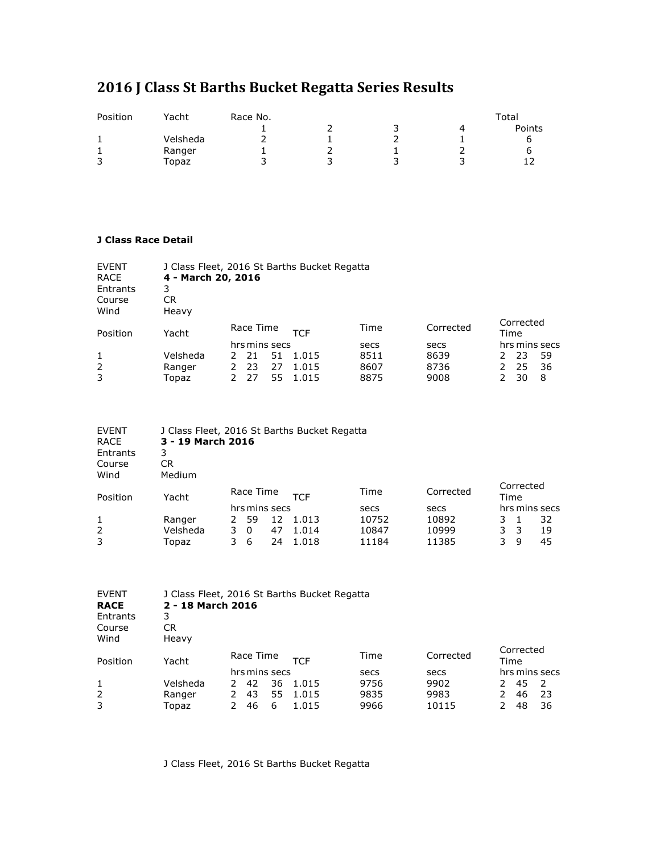## **2016 J Class St Barths Bucket Regatta Series Results**

| Position | Yacht    | Race No. | Total |  |  |        |  |
|----------|----------|----------|-------|--|--|--------|--|
|          |          |          |       |  |  | Points |  |
|          | Velsheda |          |       |  |  |        |  |
|          | Ranger   |          |       |  |  |        |  |
| っ<br>ت   | 「opaz    |          |       |  |  |        |  |

## **J Class Race Detail**

| <b>EVENT</b><br><b>RACE</b> | J Class Fleet, 2016 St Barths Bucket Regatta<br>4 - March 20, 2016 |           |               |    |            |           |      |           |      |               |
|-----------------------------|--------------------------------------------------------------------|-----------|---------------|----|------------|-----------|------|-----------|------|---------------|
| Entrants                    | 3                                                                  |           |               |    |            |           |      |           |      |               |
| Course                      | CR                                                                 |           |               |    |            |           |      |           |      |               |
| Wind                        | Heavy                                                              |           |               |    |            |           |      |           |      |               |
|                             |                                                                    | Race Time |               |    | Time       | Corrected |      | Corrected |      |               |
| Position                    | Yacht                                                              |           |               |    | <b>TCF</b> |           |      |           | Time |               |
|                             |                                                                    |           | hrs mins secs |    |            | secs      | secs |           |      | hrs mins secs |
| 1                           | Velsheda                                                           |           | -21           | 51 | 1.015      | 8511      | 8639 |           | 23   | 59            |
| 2                           | Ranger                                                             |           | 23            | 27 | 1.015      | 8607      | 8736 |           | 25   | 36            |
| 3                           | Topaz                                                              |           | 27            | 55 | 1.015      | 8875      | 9008 |           | 30   | 8             |

| <b>EVENT</b> | J Class Fleet, 2016 St Barths Bucket Regatta |           |               |    |            |           |           |      |   |               |
|--------------|----------------------------------------------|-----------|---------------|----|------------|-----------|-----------|------|---|---------------|
| <b>RACE</b>  | 3 - 19 March 2016                            |           |               |    |            |           |           |      |   |               |
| Entrants     | 3                                            |           |               |    |            |           |           |      |   |               |
| Course       | CR                                           |           |               |    |            |           |           |      |   |               |
| Wind         | Medium                                       |           |               |    |            |           |           |      |   |               |
|              |                                              | Race Time |               |    |            | Corrected | Corrected |      |   |               |
| Position     | Yacht                                        |           |               |    | <b>TCF</b> | Time      |           | Time |   |               |
|              |                                              |           | hrs mins secs |    |            | secs      | secs      |      |   | hrs mins secs |
| 1            | Ranger                                       |           | 59            | 12 | 1.013      | 10752     | 10892     |      |   | 32            |
| 2            | Velsheda                                     | 3.        | $\Omega$      | 47 | 1.014      | 10847     | 10999     |      | 3 | 19            |
| 3            | Topaz                                        |           | 6             | 24 | 1.018      | 11184     | 11385     | 3.   | 9 | 45            |

| <b>EVENT</b><br><b>RACE</b><br>Entrants<br>Course<br>Wind | 2 - 18 March 2016<br>3<br>CR<br>Heavy |                                                  | J Class Fleet, 2016 St Barths Bucket Regatta |                              |                               |                                             |                           |
|-----------------------------------------------------------|---------------------------------------|--------------------------------------------------|----------------------------------------------|------------------------------|-------------------------------|---------------------------------------------|---------------------------|
| Position                                                  | Yacht                                 | Race Time                                        | <b>TCF</b>                                   | Time                         | Corrected                     | Corrected<br>Time                           |                           |
| 1<br>2<br>3                                               | Velsheda<br>Ranger<br>Topaz           | hrs mins secs<br>36<br>42<br>55<br>43<br>6<br>46 | 1.015<br>1.015<br>1.015                      | secs<br>9756<br>9835<br>9966 | secs<br>9902<br>9983<br>10115 | hrs mins secs<br>45<br>2.<br>46<br>2.<br>48 | $\mathcal{L}$<br>23<br>36 |

J Class Fleet, 2016 St Barths Bucket Regatta